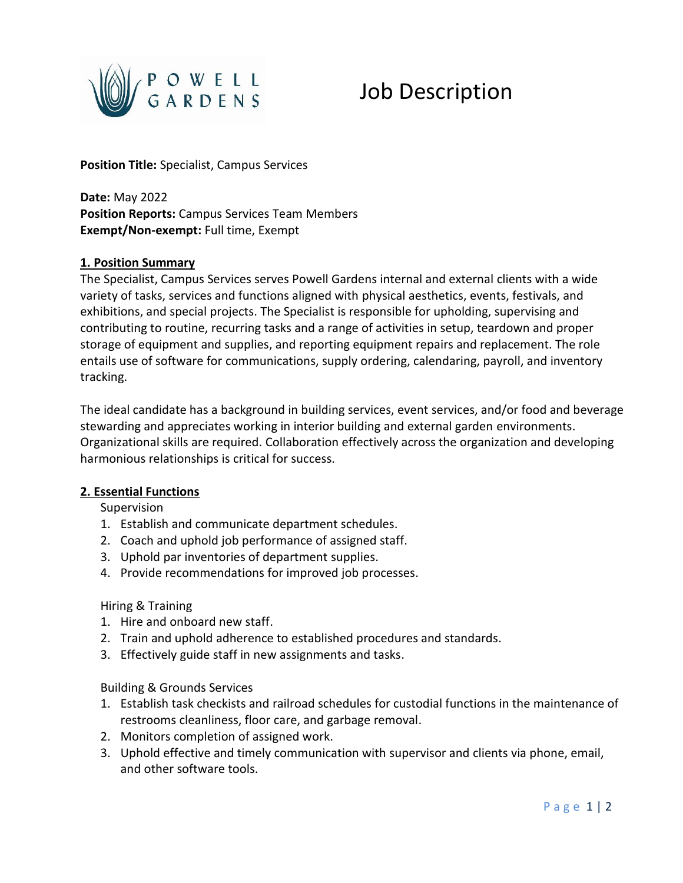

# Job Description

**Position Title:** Specialist, Campus Services

**Date:** May 2022 **Position Reports:** Campus Services Team Members **Exempt/Non-exempt:** Full time, Exempt

#### **1. Position Summary**

The Specialist, Campus Services serves Powell Gardens internal and external clients with a wide variety of tasks, services and functions aligned with physical aesthetics, events, festivals, and exhibitions, and special projects. The Specialist is responsible for upholding, supervising and contributing to routine, recurring tasks and a range of activities in setup, teardown and proper storage of equipment and supplies, and reporting equipment repairs and replacement. The role entails use of software for communications, supply ordering, calendaring, payroll, and inventory tracking.

The ideal candidate has a background in building services, event services, and/or food and beverage stewarding and appreciates working in interior building and external garden environments. Organizational skills are required. Collaboration effectively across the organization and developing harmonious relationships is critical for success.

#### **2. Essential Functions**

Supervision

- 1. Establish and communicate department schedules.
- 2. Coach and uphold job performance of assigned staff.
- 3. Uphold par inventories of department supplies.
- 4. Provide recommendations for improved job processes.

# Hiring & Training

- 1. Hire and onboard new staff.
- 2. Train and uphold adherence to established procedures and standards.
- 3. Effectively guide staff in new assignments and tasks.

Building & Grounds Services

- 1. Establish task checkists and railroad schedules for custodial functions in the maintenance of restrooms cleanliness, floor care, and garbage removal.
- 2. Monitors completion of assigned work.
- 3. Uphold effective and timely communication with supervisor and clients via phone, email, and other software tools.